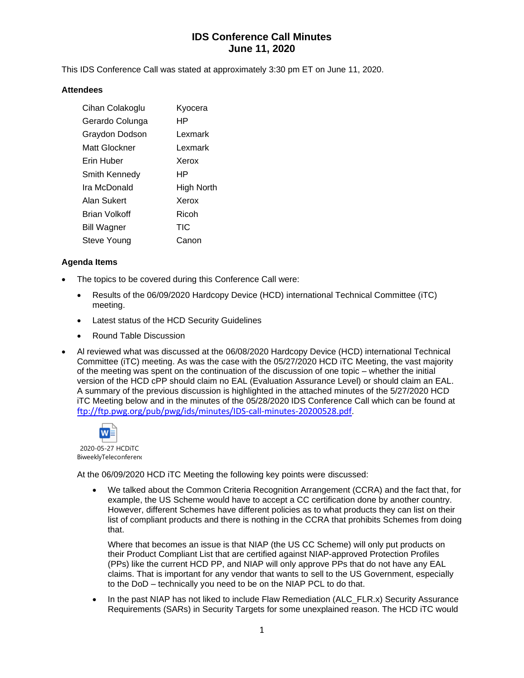# **IDS Conference Call Minutes June 11, 2020**

This IDS Conference Call was stated at approximately 3:30 pm ET on June 11, 2020.

#### **Attendees**

| Cihan Colakoglu      | Kyocera    |
|----------------------|------------|
| Gerardo Colunga      | HР         |
| Graydon Dodson       | Lexmark    |
| Matt Glockner        | Lexmark    |
| Erin Huber           | Xerox      |
| Smith Kennedy        | HР         |
| Ira McDonald         | High North |
| Alan Sukert          | Xerox      |
| <b>Brian Volkoff</b> | Ricoh      |
| Bill Wagner          | TIC        |
| Steve Young          | Canon      |

### **Agenda Items**

- The topics to be covered during this Conference Call were:
	- Results of the 06/09/2020 Hardcopy Device (HCD) international Technical Committee (iTC) meeting.
	- Latest status of the HCD Security Guidelines
	- Round Table Discussion
- Al reviewed what was discussed at the 06/08/2020 Hardcopy Device (HCD) international Technical Committee (iTC) meeting. As was the case with the 05/27/2020 HCD iTC Meeting, the vast majority of the meeting was spent on the continuation of the discussion of one topic – whether the initial version of the HCD cPP should claim no EAL (Evaluation Assurance Level) or should claim an EAL. A summary of the previous discussion is highlighted in the attached minutes of the 5/27/2020 HCD iTC Meeting below and in the minutes of the 05/28/2020 IDS Conference Call which can be found at <ftp://ftp.pwg.org/pub/pwg/ids/minutes/IDS-call-minutes-20200528.pdf>.



At the 06/09/2020 HCD iTC Meeting the following key points were discussed:

• We talked about the Common Criteria Recognition Arrangement (CCRA) and the fact that, for example, the US Scheme would have to accept a CC certification done by another country. However, different Schemes have different policies as to what products they can list on their list of compliant products and there is nothing in the CCRA that prohibits Schemes from doing that.

Where that becomes an issue is that NIAP (the US CC Scheme) will only put products on their Product Compliant List that are certified against NIAP-approved Protection Profiles (PPs) like the current HCD PP, and NIAP will only approve PPs that do not have any EAL claims. That is important for any vendor that wants to sell to the US Government, especially to the DoD – technically you need to be on the NIAP PCL to do that.

In the past NIAP has not liked to include Flaw Remediation (ALC\_FLR.x) Security Assurance Requirements (SARs) in Security Targets for some unexplained reason. The HCD iTC would